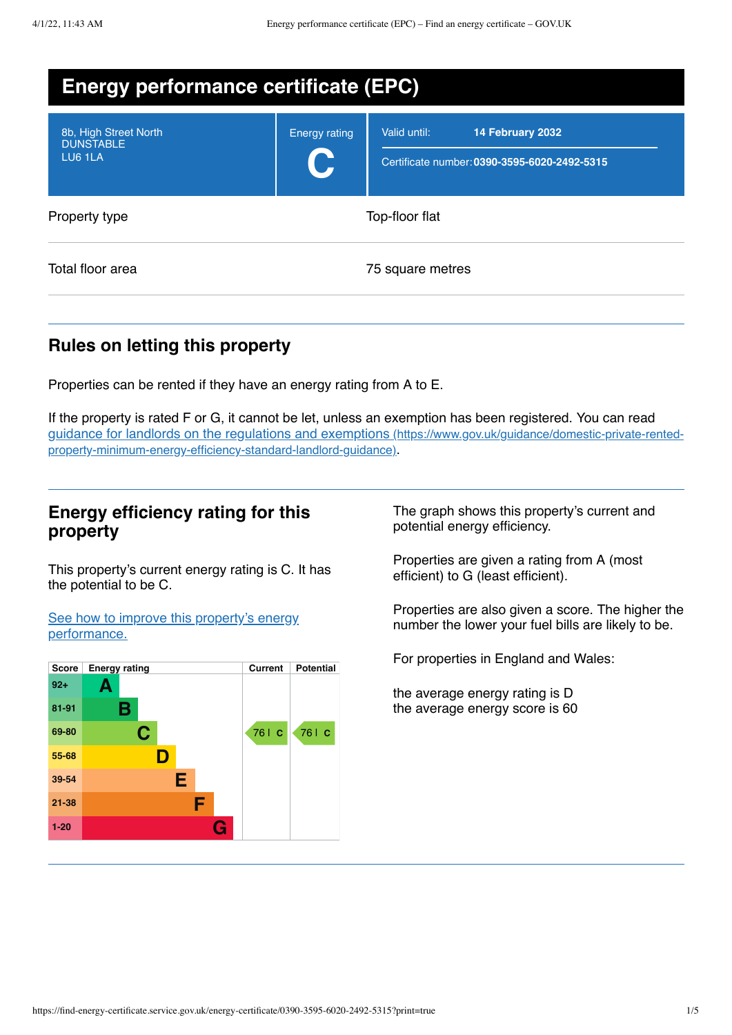| <b>Energy performance certificate (EPC)</b>          |                                  |                                                                                  |  |  |
|------------------------------------------------------|----------------------------------|----------------------------------------------------------------------------------|--|--|
| 8b, High Street North<br><b>DUNSTABLE</b><br>LU6 1LA | <b>Energy rating</b><br><b>C</b> | Valid until:<br>14 February 2032<br>Certificate number: 0390-3595-6020-2492-5315 |  |  |
| Property type                                        |                                  | Top-floor flat                                                                   |  |  |
| Total floor area                                     |                                  | 75 square metres                                                                 |  |  |

# **Rules on letting this property**

Properties can be rented if they have an energy rating from A to E.

If the property is rated F or G, it cannot be let, unless an exemption has been registered. You can read guidance for landlords on the regulations and exemptions (https://www.gov.uk/guidance/domestic-private-rented[property-minimum-energy-efficiency-standard-landlord-guidance\)](https://www.gov.uk/guidance/domestic-private-rented-property-minimum-energy-efficiency-standard-landlord-guidance).

## **Energy efficiency rating for this property**

This property's current energy rating is C. It has the potential to be C.

See how to improve this property's energy [performance.](#page-2-0)



The graph shows this property's current and potential energy efficiency.

Properties are given a rating from A (most efficient) to G (least efficient).

Properties are also given a score. The higher the number the lower your fuel bills are likely to be.

For properties in England and Wales:

the average energy rating is D the average energy score is 60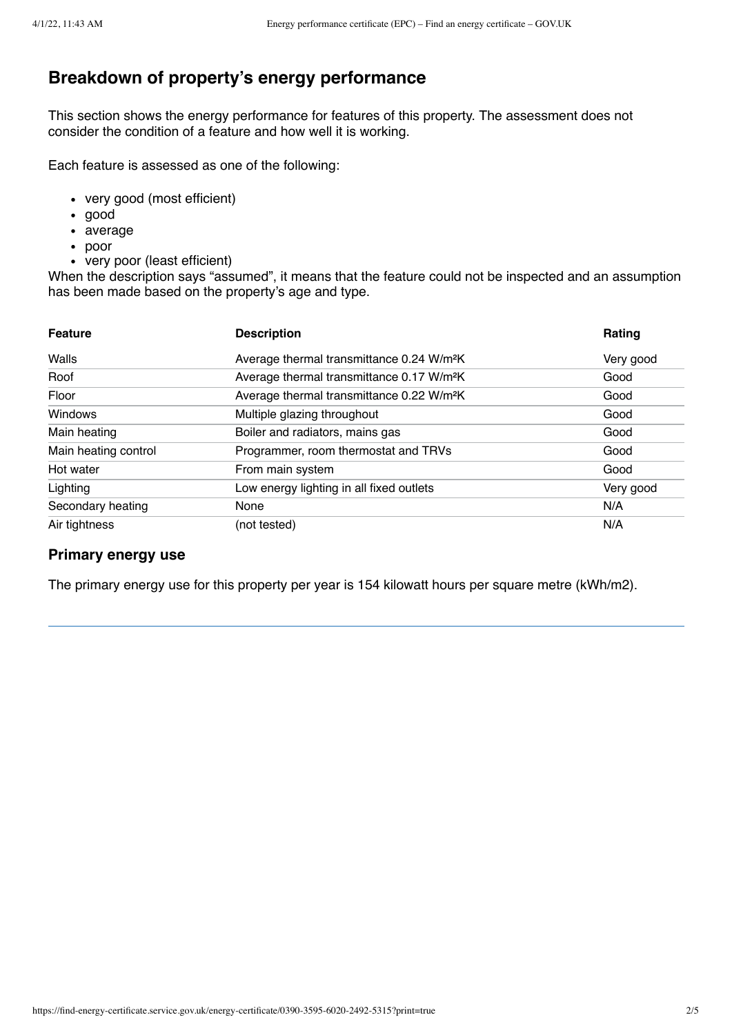# **Breakdown of property's energy performance**

This section shows the energy performance for features of this property. The assessment does not consider the condition of a feature and how well it is working.

Each feature is assessed as one of the following:

- very good (most efficient)
- good
- average
- poor
- very poor (least efficient)

When the description says "assumed", it means that the feature could not be inspected and an assumption has been made based on the property's age and type.

| <b>Feature</b>       | <b>Description</b>                                    | Rating    |
|----------------------|-------------------------------------------------------|-----------|
| Walls                | Average thermal transmittance 0.24 W/m <sup>2</sup> K | Very good |
| Roof                 | Average thermal transmittance 0.17 W/m <sup>2</sup> K | Good      |
| Floor                | Average thermal transmittance 0.22 W/m <sup>2</sup> K | Good      |
| Windows              | Multiple glazing throughout                           | Good      |
| Main heating         | Boiler and radiators, mains gas                       | Good      |
| Main heating control | Programmer, room thermostat and TRVs                  | Good      |
| Hot water            | From main system                                      | Good      |
| Lighting             | Low energy lighting in all fixed outlets              | Very good |
| Secondary heating    | None                                                  | N/A       |
| Air tightness        | (not tested)                                          | N/A       |

#### **Primary energy use**

The primary energy use for this property per year is 154 kilowatt hours per square metre (kWh/m2).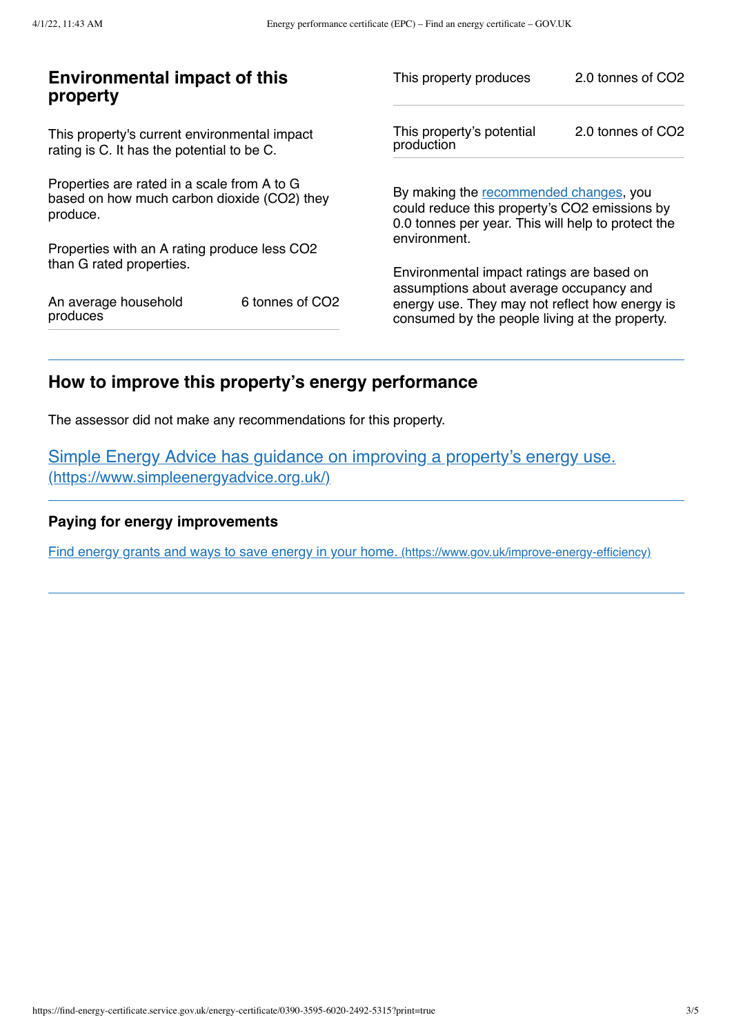| <b>Environmental impact of this</b><br>property                                                        |                             | This property produces                                                                                                                                        | 2.0 tonnes of CO2 |
|--------------------------------------------------------------------------------------------------------|-----------------------------|---------------------------------------------------------------------------------------------------------------------------------------------------------------|-------------------|
| This property's current environmental impact<br>rating is C. It has the potential to be C.             |                             | This property's potential<br>production                                                                                                                       | 2.0 tonnes of CO2 |
| Properties are rated in a scale from A to G<br>based on how much carbon dioxide (CO2) they<br>produce. |                             | By making the recommended changes, you<br>could reduce this property's CO2 emissions by<br>0.0 tonnes per year. This will help to protect the<br>environment. |                   |
| Properties with an A rating produce less CO2                                                           |                             |                                                                                                                                                               |                   |
| than G rated properties.                                                                               |                             | Environmental impact ratings are based on                                                                                                                     |                   |
| An average household<br>produces                                                                       | 6 tonnes of CO <sub>2</sub> | assumptions about average occupancy and<br>energy use. They may not reflect how energy is<br>consumed by the people living at the property.                   |                   |

# <span id="page-2-0"></span>**How to improve this property's energy performance**

The assessor did not make any recommendations for this property.

Simple Energy Advice has guidance on improving a property's energy use. [\(https://www.simpleenergyadvice.org.uk/\)](https://www.simpleenergyadvice.org.uk/)

## **Paying for energy improvements**

Find energy grants and ways to save energy in your home. [\(https://www.gov.uk/improve-energy-efficiency\)](https://www.gov.uk/improve-energy-efficiency)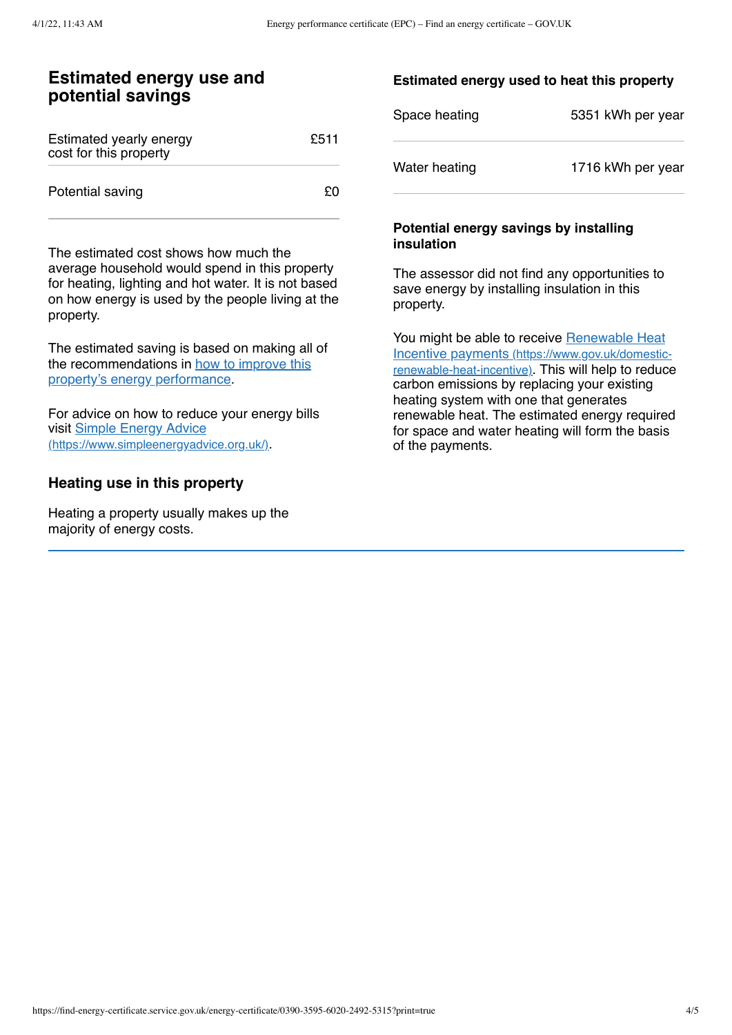## **Estimated energy use and potential savings**

| Estimated yearly energy<br>cost for this property | £511 |
|---------------------------------------------------|------|
| Potential saving                                  | £Ο   |

The estimated cost shows how much the average household would spend in this property for heating, lighting and hot water. It is not based on how energy is used by the people living at the property.

The estimated saving is based on making all of the [recommendations](#page-2-0) in how to improve this property's energy performance.

For advice on how to reduce your energy bills visit Simple Energy Advice [\(https://www.simpleenergyadvice.org.uk/\)](https://www.simpleenergyadvice.org.uk/).

### **Heating use in this property**

Heating a property usually makes up the majority of energy costs.

#### **Estimated energy used to heat this property**

| Space heating | 5351 kWh per year |
|---------------|-------------------|
| Water heating | 1716 kWh per year |

#### **Potential energy savings by installing insulation**

The assessor did not find any opportunities to save energy by installing insulation in this property.

You might be able to receive Renewable Heat Incentive payments [\(https://www.gov.uk/domestic](https://www.gov.uk/domestic-renewable-heat-incentive)renewable-heat-incentive). This will help to reduce carbon emissions by replacing your existing heating system with one that generates renewable heat. The estimated energy required for space and water heating will form the basis of the payments.